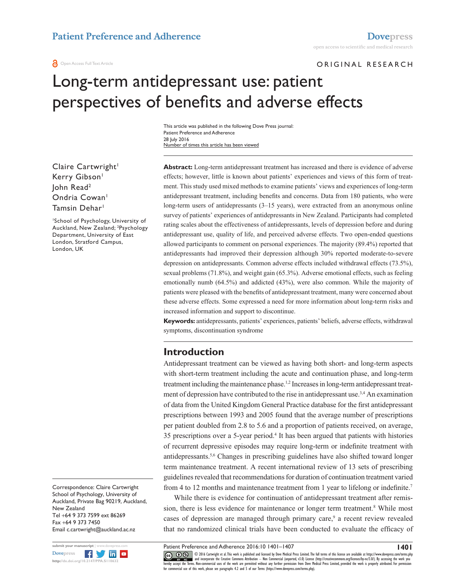## Patient Preference and Adherence **[Dovepress](www.dovepress.com)**

**a** Open Access Full Text Article

ORIGINAL RESEARCH

# Long-term antidepressant use: patient perspectives of benefits and adverse effects

Number of times this article has been viewed This article was published in the following Dove Press journal: Patient Preference and Adherence 28 July 2016

Claire Cartwright<sup>1</sup> Kerry Gibson<sup>1</sup> John Read<sup>2</sup> Ondria Cowan<sup>1</sup> Tamsin Dehar<sup>1</sup>

1 School of Psychology, University of Auckland, New Zealand; <sup>2</sup>Psychology Department, University of East London, Stratford Campus, London, UK

Correspondence: Claire Cartwright School of Psychology, University of Auckland, Private Bag 90219, Auckland, New Zealand Tel +64 9 373 7599 ext 86269 Fax +64 9 373 7450 Email [c.cartwright@auckland.ac.nz](mailto:c.cartwright@auckland.ac.nz)



**Abstract:** Long-term antidepressant treatment has increased and there is evidence of adverse effects; however, little is known about patients' experiences and views of this form of treatment. This study used mixed methods to examine patients' views and experiences of long-term antidepressant treatment, including benefits and concerns. Data from 180 patients, who were long-term users of antidepressants (3–15 years), were extracted from an anonymous online survey of patients' experiences of antidepressants in New Zealand. Participants had completed rating scales about the effectiveness of antidepressants, levels of depression before and during antidepressant use, quality of life, and perceived adverse effects. Two open-ended questions allowed participants to comment on personal experiences. The majority (89.4%) reported that antidepressants had improved their depression although 30% reported moderate-to-severe depression on antidepressants. Common adverse effects included withdrawal effects (73.5%), sexual problems (71.8%), and weight gain (65.3%). Adverse emotional effects, such as feeling emotionally numb (64.5%) and addicted (43%), were also common. While the majority of patients were pleased with the benefits of antidepressant treatment, many were concerned about these adverse effects. Some expressed a need for more information about long-term risks and increased information and support to discontinue.

**Keywords:** antidepressants, patients' experiences, patients' beliefs, adverse effects, withdrawal symptoms, discontinuation syndrome

# **Introduction**

Antidepressant treatment can be viewed as having both short- and long-term aspects with short-term treatment including the acute and continuation phase, and long-term treatment including the maintenance phase.<sup>1,2</sup> Increases in long-term antidepressant treatment of depression have contributed to the rise in antidepressant use.<sup>3,4</sup> An examination of data from the United Kingdom General Practice database for the first antidepressant prescriptions between 1993 and 2005 found that the average number of prescriptions per patient doubled from 2.8 to 5.6 and a proportion of patients received, on average, 35 prescriptions over a 5-year period.<sup>4</sup> It has been argued that patients with histories of recurrent depressive episodes may require long-term or indefinite treatment with antidepressants.5,6 Changes in prescribing guidelines have also shifted toward longer term maintenance treatment. A recent international review of 13 sets of prescribing guidelines revealed that recommendations for duration of continuation treatment varied from 4 to 12 months and maintenance treatment from 1 year to lifelong or indefinite.7

While there is evidence for continuation of antidepressant treatment after remission, there is less evidence for maintenance or longer term treatment.<sup>8</sup> While most cases of depression are managed through primary care,<sup>9</sup> a recent review revealed that no randomized clinical trials have been conducted to evaluate the efficacy of

CCC 1 © 2016 Cartwright et al. This work is published and licensed by Dove Medical Press Limited. The full terms of this license are available at <https://www.dovepress.com/terms.php><br>[hereby accept the Terms](http://www.dovepress.com/permissions.php). Non-commercial

**1401**

Patient Preference and Adherence 2016:10 1401–1407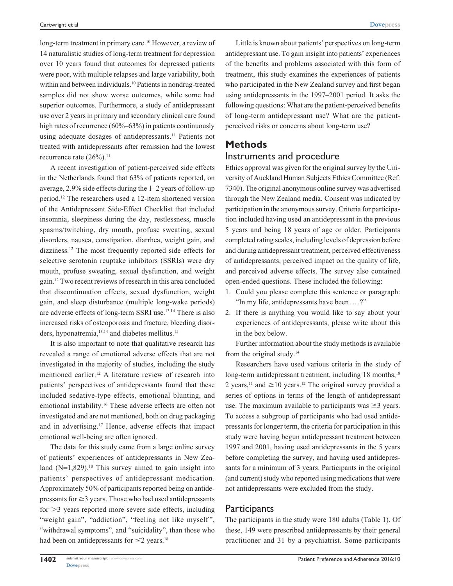long-term treatment in primary care.<sup>10</sup> However, a review of 14 naturalistic studies of long-term treatment for depression over 10 years found that outcomes for depressed patients were poor, with multiple relapses and large variability, both within and between individuals.<sup>10</sup> Patients in nondrug-treated samples did not show worse outcomes, while some had superior outcomes. Furthermore, a study of antidepressant use over 2 years in primary and secondary clinical care found high rates of recurrence (60%–63%) in patients continuously using adequate dosages of antidepressants.<sup>11</sup> Patients not treated with antidepressants after remission had the lowest recurrence rate  $(26\%)$ .<sup>11</sup>

A recent investigation of patient-perceived side effects in the Netherlands found that 63% of patients reported, on average, 2.9% side effects during the 1–2 years of follow-up period.12 The researchers used a 12-item shortened version of the Antidepressant Side-Effect Checklist that included insomnia, sleepiness during the day, restlessness, muscle spasms/twitching, dry mouth, profuse sweating, sexual disorders, nausea, constipation, diarrhea, weight gain, and dizziness.12 The most frequently reported side effects for selective serotonin reuptake inhibitors (SSRIs) were dry mouth, profuse sweating, sexual dysfunction, and weight gain.12 Two recent reviews of research in this area concluded that discontinuation effects, sexual dysfunction, weight gain, and sleep disturbance (multiple long-wake periods) are adverse effects of long-term SSRI use.13,14 There is also increased risks of osteoporosis and fracture, bleeding disorders, hyponatremia,<sup>13,14</sup> and diabetes mellitus.<sup>15</sup>

It is also important to note that qualitative research has revealed a range of emotional adverse effects that are not investigated in the majority of studies, including the study mentioned earlier.12 A literature review of research into patients' perspectives of antidepressants found that these included sedative-type effects, emotional blunting, and emotional instability.<sup>16</sup> These adverse effects are often not investigated and are not mentioned, both on drug packaging and in advertising.17 Hence, adverse effects that impact emotional well-being are often ignored.

The data for this study came from a large online survey of patients' experiences of antidepressants in New Zealand  $(N=1,829)$ .<sup>18</sup> This survey aimed to gain insight into patients' perspectives of antidepressant medication. Approximately 50% of participants reported being on antidepressants for  $\geq$ 3 years. Those who had used antidepressants for  $>3$  years reported more severe side effects, including "weight gain", "addiction", "feeling not like myself", "withdrawal symptoms", and "suicidality", than those who had been on antidepressants for  $\leq$  years.<sup>18</sup>

Little is known about patients' perspectives on long-term antidepressant use. To gain insight into patients' experiences of the benefits and problems associated with this form of treatment, this study examines the experiences of patients who participated in the New Zealand survey and first began using antidepressants in the 1997–2001 period. It asks the following questions: What are the patient-perceived benefits of long-term antidepressant use? What are the patientperceived risks or concerns about long-term use?

# **Methods**

## Instruments and procedure

Ethics approval was given for the original survey by the University of Auckland Human Subjects Ethics Committee (Ref: 7340). The original anonymous online survey was advertised through the New Zealand media. Consent was indicated by participation in the anonymous survey. Criteria for participation included having used an antidepressant in the previous 5 years and being 18 years of age or older. Participants completed rating scales, including levels of depression before and during antidepressant treatment, perceived effectiveness of antidepressants, perceived impact on the quality of life, and perceived adverse effects. The survey also contained open-ended questions. These included the following:

- 1. Could you please complete this sentence or paragraph: "In my life, antidepressants have been….?"
- 2. If there is anything you would like to say about your experiences of antidepressants, please write about this in the box below.

Further information about the study methods is available from the original study.<sup>14</sup>

Researchers have used various criteria in the study of long-term antidepressant treatment, including 18 months,<sup>18</sup> 2 years,<sup>11</sup> and  $\geq$ 10 years.<sup>12</sup> The original survey provided a series of options in terms of the length of antidepressant use. The maximum available to participants was  $\geq$ 3 years. To access a subgroup of participants who had used antidepressants for longer term, the criteria for participation in this study were having begun antidepressant treatment between 1997 and 2001, having used antidepressants in the 5 years before completing the survey, and having used antidepressants for a minimum of 3 years. Participants in the original (and current) study who reported using medications that were not antidepressants were excluded from the study.

# **Participants**

The participants in the study were 180 adults (Table 1). Of these, 149 were prescribed antidepressants by their general practitioner and 31 by a psychiatrist. Some participants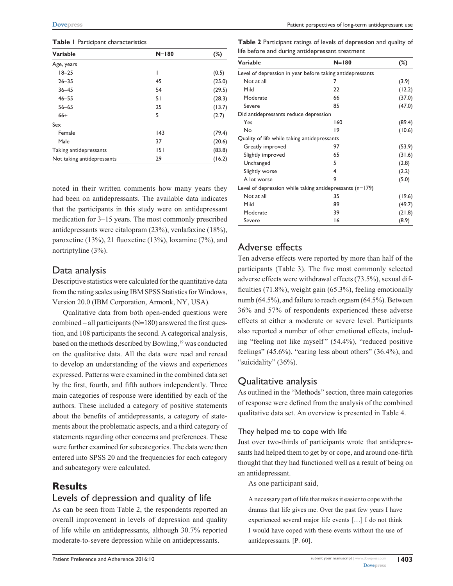#### **Table 1** Participant characteristics

| <b>Variable</b>            | $N=180$ | $(\%)$ |  |  |
|----------------------------|---------|--------|--|--|
| Age, years                 |         |        |  |  |
| $18 - 25$                  |         | (0.5)  |  |  |
| $26 - 35$                  | 45      | (25.0) |  |  |
| $36 - 45$                  | 54      | (29.5) |  |  |
| $46 - 55$                  | 51      | (28.3) |  |  |
| $56 - 65$                  | 25      | (13.7) |  |  |
| $66+$                      | 5       | (2.7)  |  |  |
| Sex                        |         |        |  |  |
| Female                     | 43      | (79.4) |  |  |
| Male                       | 37      | (20.6) |  |  |
| Taking antidepressants     | 151     | (83.8) |  |  |
| Not taking antidepressants | 29      | (16.2) |  |  |

noted in their written comments how many years they had been on antidepressants. The available data indicates that the participants in this study were on antidepressant medication for 3–15 years. The most commonly prescribed antidepressants were citalopram (23%), venlafaxine (18%), paroxetine (13%), 21 fluoxetine (13%), loxamine (7%), and nortriptyline (3%).

# Data analysis

Descriptive statistics were calculated for the quantitative data from the rating scales using IBM SPSS Statistics for Windows, Version 20.0 (IBM Corporation, Armonk, NY, USA).

Qualitative data from both open-ended questions were combined – all participants  $(N=180)$  answered the first question, and 108 participants the second. A categorical analysis, based on the methods described by Bowling,<sup>19</sup> was conducted on the qualitative data. All the data were read and reread to develop an understanding of the views and experiences expressed. Patterns were examined in the combined data set by the first, fourth, and fifth authors independently. Three main categories of response were identified by each of the authors. These included a category of positive statements about the benefits of antidepressants, a category of statements about the problematic aspects, and a third category of statements regarding other concerns and preferences. These were further examined for subcategories. The data were then entered into SPSS 20 and the frequencies for each category and subcategory were calculated.

# **Results**

# Levels of depression and quality of life

As can be seen from Table 2, the respondents reported an overall improvement in levels of depression and quality of life while on antidepressants, although 30.7% reported moderate-to-severe depression while on antidepressants.

**Table 2** Participant ratings of levels of depression and quality of life before and during antidepressant treatment

| Variable                                                   | $(\%)$ |        |
|------------------------------------------------------------|--------|--------|
| Level of depression in year before taking antidepressants  |        |        |
| Not at all                                                 | 7      | (3.9)  |
| Mild                                                       | 22     | (12.2) |
| Moderate                                                   | 66     | (37.0) |
| Severe                                                     | 85     | (47.0) |
| Did antidepressants reduce depression                      |        |        |
| Yes                                                        | 160    | (89.4) |
| No                                                         | 19     | (10.6) |
| Quality of life while taking antidepressants               |        |        |
| Greatly improved                                           | 97     | (53.9) |
| Slightly improved                                          | 65     | (31.6) |
| Unchanged                                                  | 5      | (2.8)  |
| Slightly worse                                             | 4      | (2.2)  |
| A lot worse                                                | 9      | (5.0)  |
| Level of depression while taking antidepressants $(n=179)$ |        |        |
| Not at all                                                 | 35     | (19.6) |
| Mild                                                       | 89     | (49.7) |
| Moderate                                                   | 39     | (21.8) |
| Severe                                                     | 16     | (8.9)  |

# Adverse effects

Ten adverse effects were reported by more than half of the participants (Table 3). The five most commonly selected adverse effects were withdrawal effects (73.5%), sexual difficulties (71.8%), weight gain (65.3%), feeling emotionally numb (64.5%), and failure to reach orgasm (64.5%). Between 36% and 57% of respondents experienced these adverse effects at either a moderate or severe level. Participants also reported a number of other emotional effects, including "feeling not like myself" (54.4%), "reduced positive feelings" (45.6%), "caring less about others" (36.4%), and "suicidality" (36%).

# Qualitative analysis

As outlined in the "Methods" section, three main categories of response were defined from the analysis of the combined qualitative data set. An overview is presented in Table 4.

### They helped me to cope with life

Just over two-thirds of participants wrote that antidepressants had helped them to get by or cope, and around one-fifth thought that they had functioned well as a result of being on an antidepressant.

As one participant said,

A necessary part of life that makes it easier to cope with the dramas that life gives me. Over the past few years I have experienced several major life events […] I do not think I would have coped with these events without the use of antidepressants. [P. 60].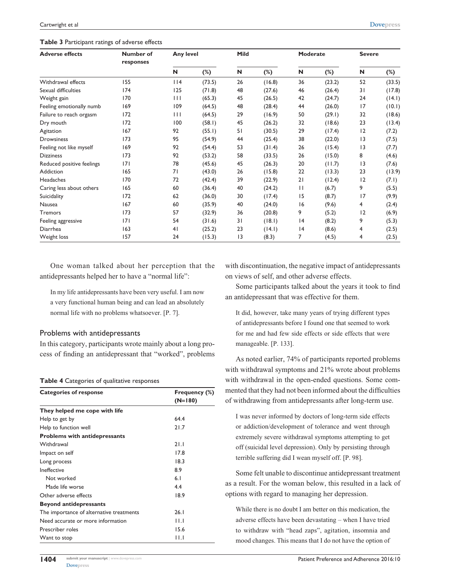#### **Table 3** Participant ratings of adverse effects

| <b>Adverse effects</b>    | Number of<br>responses | Any level    |        | Mild |        | Moderate |        | <b>Severe</b> |        |
|---------------------------|------------------------|--------------|--------|------|--------|----------|--------|---------------|--------|
|                           |                        | N            | $(\%)$ | N    | $(\%)$ | N        | $(\%)$ | N             | $(\%)$ |
| Withdrawal effects        | 155                    | $ $  4       | (73.5) | 26   | (16.8) | 36       | (23.2) | 52            | (33.5) |
| Sexual difficulties       | 174                    | 125          | (71.8) | 48   | (27.6) | 46       | (26.4) | 31            | (17.8) |
| Weight gain               | 170                    | $\mathbf{H}$ | (65.3) | 45   | (26.5) | 42       | (24.7) | 24            | (14.1) |
| Feeling emotionally numb  | 169                    | 109          | (64.5) | 48   | (28.4) | 44       | (26.0) | 17            | (10.1) |
| Failure to reach orgasm   | 172                    | $\mathbf{H}$ | (64.5) | 29   | (16.9) | 50       | (29.1) | 32            | (18.6) |
| Dry mouth                 | 172                    | 100          | (58.1) | 45   | (26.2) | 32       | (18.6) | 23            | (13.4) |
| Agitation                 | 167                    | 92           | (55.1) | 51   | (30.5) | 29       | (17.4) | 2             | (7.2)  |
| <b>Drowsiness</b>         | 173                    | 95           | (54.9) | 44   | (25.4) | 38       | (22.0) | 3             | (7.5)  |
| Feeling not like myself   | 169                    | 92           | (54.4) | 53   | (31.4) | 26       | (15.4) | 3             | (7.7)  |
| <b>Dizziness</b>          | 173                    | 92           | (53.2) | 58   | (33.5) | 26       | (15.0) | 8             | (4.6)  |
| Reduced positive feelings | 7                      | 78           | (45.6) | 45   | (26.3) | 20       | (11.7) | 3             | (7.6)  |
| Addiction                 | 165                    | 71           | (43.0) | 26   | (15.8) | 22       | (13.3) | 23            | (13.9) |
| Headaches                 | 170                    | 72           | (42.4) | 39   | (22.9) | 21       | (12.4) | 12            | (7.1)  |
| Caring less about others  | 165                    | 60           | (36.4) | 40   | (24.2) | П        | (6.7)  | 9             | (5.5)  |
| Suicidality               | 172                    | 62           | (36.0) | 30   | (17.4) | 15       | (8.7)  | 17            | (9.9)  |
| Nausea                    | 167                    | 60           | (35.9) | 40   | (24.0) | 16       | (9.6)  | 4             | (2.4)  |
| <b>Tremors</b>            | 173                    | 57           | (32.9) | 36   | (20.8) | 9        | (5.2)  | 2             | (6.9)  |
| Feeling aggressive        | 7                      | 54           | (31.6) | 31   | (18.1) | 4        | (8.2)  | 9             | (5.3)  |
| Diarrhea                  | 163                    | 41           | (25.2) | 23   | (14.1) | 4        | (8.6)  | 4             | (2.5)  |
| Weight loss               | 157                    | 24           | (15.3) | 3    | (8.3)  | 7        | (4.5)  | 4             | (2.5)  |

One woman talked about her perception that the antidepressants helped her to have a "normal life":

In my life antidepressants have been very useful. I am now a very functional human being and can lead an absolutely normal life with no problems whatsoever. [P. 7].

#### Problems with antidepressants

In this category, participants wrote mainly about a long process of finding an antidepressant that "worked", problems

#### **Table 4** Categories of qualitative responses

| <b>Categories of response</b>            | Frequency (%)<br>$(N=180)$ |  |  |
|------------------------------------------|----------------------------|--|--|
| They helped me cope with life            |                            |  |  |
| Help to get by                           | 64.4                       |  |  |
| Help to function well                    | 21.7                       |  |  |
| <b>Problems with antidepressants</b>     |                            |  |  |
| Withdrawal                               | 21.1                       |  |  |
| Impact on self                           | 17.8                       |  |  |
| Long process                             | 18.3                       |  |  |
| Ineffective                              | 8.9                        |  |  |
| Not worked                               | 6.1                        |  |  |
| Made life worse                          | 4.4                        |  |  |
| Other adverse effects                    | 18.9                       |  |  |
| <b>Beyond antidepressants</b>            |                            |  |  |
| The importance of alternative treatments | 26.1                       |  |  |
| Need accurate or more information        | $  \cdot  $                |  |  |
| Prescriber roles                         | 15.6                       |  |  |
| Want to stop                             | $\mathsf{H}.\mathsf{I}$    |  |  |

with discontinuation, the negative impact of antidepressants on views of self, and other adverse effects.

Some participants talked about the years it took to find an antidepressant that was effective for them.

It did, however, take many years of trying different types of antidepressants before I found one that seemed to work for me and had few side effects or side effects that were manageable. [P. 133].

As noted earlier, 74% of participants reported problems with withdrawal symptoms and 21% wrote about problems with withdrawal in the open-ended questions. Some commented that they had not been informed about the difficulties of withdrawing from antidepressants after long-term use.

I was never informed by doctors of long-term side effects or addiction/development of tolerance and went through extremely severe withdrawal symptoms attempting to get off (suicidal level depression). Only by persisting through terrible suffering did I wean myself off. [P. 98].

Some felt unable to discontinue antidepressant treatment as a result. For the woman below, this resulted in a lack of options with regard to managing her depression.

While there is no doubt I am better on this medication, the adverse effects have been devastating – when I have tried to withdraw with "head zaps", agitation, insomnia and mood changes. This means that I do not have the option of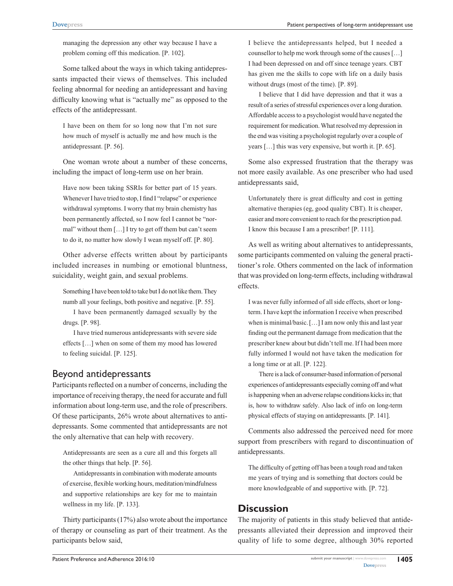managing the depression any other way because I have a problem coming off this medication. [P. 102].

Some talked about the ways in which taking antidepressants impacted their views of themselves. This included feeling abnormal for needing an antidepressant and having difficulty knowing what is "actually me" as opposed to the effects of the antidepressant.

I have been on them for so long now that I'm not sure how much of myself is actually me and how much is the antidepressant. [P. 56].

One woman wrote about a number of these concerns, including the impact of long-term use on her brain.

Have now been taking SSRIs for better part of 15 years. Whenever I have tried to stop, I find I "relapse" or experience withdrawal symptoms. I worry that my brain chemistry has been permanently affected, so I now feel I cannot be "normal" without them […] I try to get off them but can't seem to do it, no matter how slowly I wean myself off. [P. 80].

Other adverse effects written about by participants included increases in numbing or emotional bluntness, suicidality, weight gain, and sexual problems.

Something I have been told to take but I do not like them. They numb all your feelings, both positive and negative. [P. 55].

I have been permanently damaged sexually by the drugs. [P. 98].

I have tried numerous antidepressants with severe side effects […] when on some of them my mood has lowered to feeling suicidal. [P. 125].

# Beyond antidepressants

Participants reflected on a number of concerns, including the importance of receiving therapy, the need for accurate and full information about long-term use, and the role of prescribers. Of these participants, 26% wrote about alternatives to antidepressants. Some commented that antidepressants are not the only alternative that can help with recovery.

Antidepressants are seen as a cure all and this forgets all the other things that help. [P. 56].

Antidepressants in combination with moderate amounts of exercise, flexible working hours, meditation/mindfulness and supportive relationships are key for me to maintain wellness in my life. [P. 133].

Thirty participants (17%) also wrote about the importance of therapy or counseling as part of their treatment. As the participants below said,

I believe the antidepressants helped, but I needed a counsellor to help me work through some of the causes […] I had been depressed on and off since teenage years. CBT has given me the skills to cope with life on a daily basis without drugs (most of the time). [P. 89].

I believe that I did have depression and that it was a result of a series of stressful experiences over a long duration. Affordable access to a psychologist would have negated the requirement for medication. What resolved my depression in the end was visiting a psychologist regularly over a couple of years […] this was very expensive, but worth it. [P. 65].

Some also expressed frustration that the therapy was not more easily available. As one prescriber who had used antidepressants said,

Unfortunately there is great difficulty and cost in getting alternative therapies (eg, good quality CBT). It is cheaper, easier and more convenient to reach for the prescription pad. I know this because I am a prescriber! [P. 111].

As well as writing about alternatives to antidepressants, some participants commented on valuing the general practitioner's role. Others commented on the lack of information that was provided on long-term effects, including withdrawal effects.

I was never fully informed of all side effects, short or longterm. I have kept the information I receive when prescribed when is minimal/basic.[…] I am now only this and last year finding out the permanent damage from medication that the prescriber knew about but didn't tell me. If I had been more fully informed I would not have taken the medication for a long time or at all. [P. 122].

There is a lack of consumer-based information of personal experiences of antidepressants especially coming off and what is happening when an adverse relapse conditions kicks in; that is, how to withdraw safely. Also lack of info on long-term physical effects of staying on antidepressants. [P. 141].

Comments also addressed the perceived need for more support from prescribers with regard to discontinuation of antidepressants.

The difficulty of getting off has been a tough road and taken me years of trying and is something that doctors could be more knowledgeable of and supportive with. [P. 72].

# **Discussion**

The majority of patients in this study believed that antidepressants alleviated their depression and improved their quality of life to some degree, although 30% reported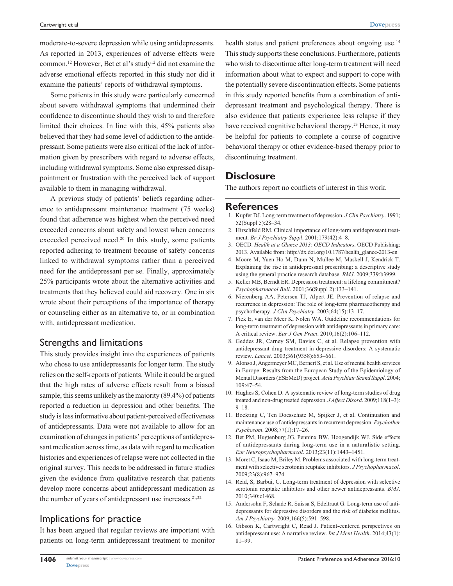moderate-to-severe depression while using antidepressants. As reported in 2013, experiences of adverse effects were common.<sup>12</sup> However, Bet et al's study<sup>12</sup> did not examine the adverse emotional effects reported in this study nor did it examine the patients' reports of withdrawal symptoms.

Some patients in this study were particularly concerned about severe withdrawal symptoms that undermined their confidence to discontinue should they wish to and therefore limited their choices. In line with this, 45% patients also believed that they had some level of addiction to the antidepressant. Some patients were also critical of the lack of information given by prescribers with regard to adverse effects, including withdrawal symptoms. Some also expressed disappointment or frustration with the perceived lack of support available to them in managing withdrawal.

A previous study of patients' beliefs regarding adherence to antidepressant maintenance treatment (75 weeks) found that adherence was highest when the perceived need exceeded concerns about safety and lowest when concerns exceeded perceived need.20 In this study, some patients reported adhering to treatment because of safety concerns linked to withdrawal symptoms rather than a perceived need for the antidepressant per se. Finally, approximately 25% participants wrote about the alternative activities and treatments that they believed could aid recovery. One in six wrote about their perceptions of the importance of therapy or counseling either as an alternative to, or in combination with, antidepressant medication.

## Strengths and limitations

This study provides insight into the experiences of patients who chose to use antidepressants for longer term. The study relies on the self-reports of patients. While it could be argued that the high rates of adverse effects result from a biased sample, this seems unlikely as the majority (89.4%) of patients reported a reduction in depression and other benefits. The study is less informative about patient-perceived effectiveness of antidepressants. Data were not available to allow for an examination of changes in patients' perceptions of antidepressant medication across time, as data with regard to medication histories and experiences of relapse were not collected in the original survey. This needs to be addressed in future studies given the evidence from qualitative research that patients develop more concerns about antidepressant medication as the number of years of antidepressant use increases.<sup>21,22</sup>

# Implications for practice

It has been argued that regular reviews are important with patients on long-term antidepressant treatment to monitor health status and patient preferences about ongoing use.<sup>14</sup> This study supports these conclusions. Furthermore, patients who wish to discontinue after long-term treatment will need information about what to expect and support to cope with the potentially severe discontinuation effects. Some patients in this study reported benefits from a combination of antidepressant treatment and psychological therapy. There is also evidence that patients experience less relapse if they have received cognitive behavioral therapy.<sup>23</sup> Hence, it may be helpful for patients to complete a course of cognitive behavioral therapy or other evidence-based therapy prior to discontinuing treatment.

## **Disclosure**

The authors report no conflicts of interest in this work.

#### **References**

- 1. Kupfer DJ. Long-term treatment of depression. *J Clin Psychiatry*. 1991; 52(Suppl 5):28–34.
- 2. Hirschfeld RM. Clinical importance of long-term antidepressant treatment. *Br J Psychiatry Suppl*. 2001;179(42):4–8.
- 3. OECD. *Health at a Glance 2013: OECD Indicators*. OECD Publishing; 2013. Available from: [http://dx.doi.org/10.1787/health\\_glance-2013-en](http://dx.doi.org/10.1787/health_glance-2013-en)
- 4. Moore M, Yuen Ho M, Dunn N, Mullee M, Maskell J, Kendrick T. Explaining the rise in antidepressant prescribing: a descriptive study using the general practice research database. *BMJ*. 2009;339:b3999.
- 5. Keller MB, Berndt ER. Depression treatment: a lifelong commitment? *Psychopharmacol Bull*. 2001;36(Suppl 2):133–141.
- 6. Nierenberg AA, Petersen TJ, Alpert JE. Prevention of relapse and recurrence in depression: The role of long-term pharmacotherapy and psychotherapy. *J Clin Psychiatry*. 2003;64(15):13–17.
- 7. Piek E, van der Meer K, Nolen WA. Guideline recommendations for long-term treatment of depression with antidepressants in primary care: A critical review. *Eur J Gen Pract*. 2010;16(2):106–112.
- 8. Geddes JR, Carney SM, Davies C, et al. Relapse prevention with antidepressant drug treatment in depressive disorders: A systematic review. *Lancet*. 2003;361(9358):653–661.
- 9. Alonso J, Angermeyer MC, Bernert S, et al. Use of mental health services in Europe: Results from the European Study of the Epidemiology of Mental Disorders (ESEMeD) project. *Acta Psychiatr Scand Suppl*. 2004;  $109.47 - 54$
- 10. Hughes S, Cohen D. A systematic review of long-term studies of drug treated and non-drug treated depression. *J Affect Disord*. 2009;118(1–3): 9–18.
- 11. Bockting C, Ten Doesschate M, Spijker J, et al. Continuation and maintenance use of antidepressants in recurrent depression. *Psychother Psychosom*. 2008;77(1):17–26.
- 12. Bet PM, Hugtenburg JG, Penninx BW, Hoogendijk WJ. Side effects of antidepressants during long-term use in a naturalistic setting. *Eur Neuropsychopharmacol*. 2013;23(11):1443–1451.
- 13. Moret C, Isaac M, Briley M. Problems associated with long-term treatment with selective serotonin reuptake inhibitors. *J Psychopharmacol*. 2009;23(8):967–974.
- 14. Reid, S, Barbui, C. Long-term treatment of depression with selective serotonin reuptake inhibitors and other newer antidepressants. *BMJ*. 2010;340:c1468.
- 15. Andersohn F, Schade R, Suissa S, Edeltraut G. Long-term use of antidepressants for depressive disorders and the risk of diabetes mellitus. *Am J Psychiatry*. 2009;166(5):591–598.
- 16. Gibson K, Cartwright C, Read J. Patient-centered perspectives on antidepressant use: A narrative review. *Int J Ment Health*. 2014;43(1): 81–99.